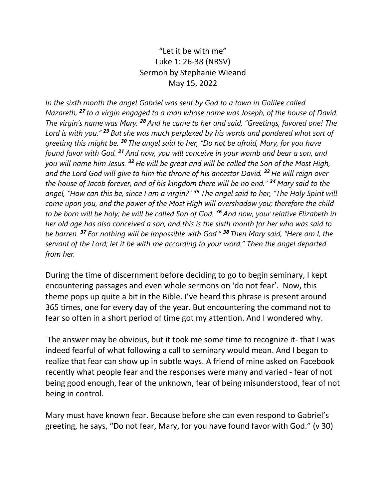## "Let it be with me" Luke 1: 26-38 (NRSV) Sermon by Stephanie Wieand May 15, 2022

*In the sixth month the angel Gabriel was sent by God to a town in Galilee called Nazareth, <sup>27</sup> to a virgin engaged to a man whose name was Joseph, of the house of David. The virgin's name was Mary. <sup>28</sup> And he came to her and said, "Greetings, favored one! The Lord is with you." <sup>29</sup> But she was much perplexed by his words and pondered what sort of greeting this might be. <sup>30</sup> The angel said to her, "Do not be afraid, Mary, for you have found favor with God. <sup>31</sup> And now, you will conceive in your womb and bear a son, and you will name him Jesus. <sup>32</sup> He will be great and will be called the Son of the Most High, and the Lord God will give to him the throne of his ancestor David. <sup>33</sup> He will reign over the house of Jacob forever, and of his kingdom there will be no end." <sup>34</sup> Mary said to the angel, "How can this be, since I am a virgin?" <sup>35</sup> The angel said to her, "The Holy Spirit will come upon you, and the power of the Most High will overshadow you; therefore the child to be born will be holy; he will be called Son of God. <sup>36</sup> And now, your relative Elizabeth in her old age has also conceived a son, and this is the sixth month for her who was said to be barren. <sup>37</sup> For nothing will be impossible with God." <sup>38</sup> Then Mary said, "Here am I, the servant of the Lord; let it be with me according to your word." Then the angel departed from her.*

During the time of discernment before deciding to go to begin seminary, I kept encountering passages and even whole sermons on 'do not fear'. Now, this theme pops up quite a bit in the Bible. I've heard this phrase is present around 365 times, one for every day of the year. But encountering the command not to fear so often in a short period of time got my attention. And I wondered why.

The answer may be obvious, but it took me some time to recognize it- that I was indeed fearful of what following a call to seminary would mean. And I began to realize that fear can show up in subtle ways. A friend of mine asked on Facebook recently what people fear and the responses were many and varied - fear of not being good enough, fear of the unknown, fear of being misunderstood, fear of not being in control.

Mary must have known fear. Because before she can even respond to Gabriel's greeting, he says, "Do not fear, Mary, for you have found favor with God." (v 30)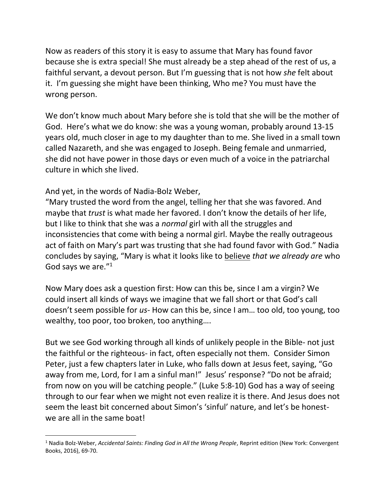Now as readers of this story it is easy to assume that Mary has found favor because she is extra special! She must already be a step ahead of the rest of us, a faithful servant, a devout person. But I'm guessing that is not how *she* felt about it. I'm guessing she might have been thinking, Who me? You must have the wrong person.

We don't know much about Mary before she is told that she will be the mother of God. Here's what we do know: she was a young woman, probably around 13-15 years old, much closer in age to my daughter than to me. She lived in a small town called Nazareth, and she was engaged to Joseph. Being female and unmarried, she did not have power in those days or even much of a voice in the patriarchal culture in which she lived.

And yet, in the words of Nadia-Bolz Weber,

 $\overline{a}$ 

"Mary trusted the word from the angel, telling her that she was favored. And maybe that *trust* is what made her favored. I don't know the details of her life, but I like to think that she was a *normal* girl with all the struggles and inconsistencies that come with being a normal girl. Maybe the really outrageous act of faith on Mary's part was trusting that she had found favor with God." Nadia concludes by saying, "Mary is what it looks like to believe *that we already are* who God says we are."<sup>1</sup>

Now Mary does ask a question first: How can this be, since I am a virgin? We could insert all kinds of ways we imagine that we fall short or that God's call doesn't seem possible for *us*- How can this be, since I am… too old, too young, too wealthy, too poor, too broken, too anything….

But we see God working through all kinds of unlikely people in the Bible- not just the faithful or the righteous- in fact, often especially not them. Consider Simon Peter, just a few chapters later in Luke, who falls down at Jesus feet, saying, "Go away from me, Lord, for I am a sinful man!" Jesus' response? "Do not be afraid; from now on you will be catching people." (Luke 5:8-10) God has a way of seeing through to our fear when we might not even realize it is there. And Jesus does not seem the least bit concerned about Simon's 'sinful' nature, and let's be honestwe are all in the same boat!

<sup>1</sup> Nadia Bolz-Weber, *Accidental Saints: Finding God in All the Wrong People*, Reprint edition (New York: Convergent Books, 2016), 69-70.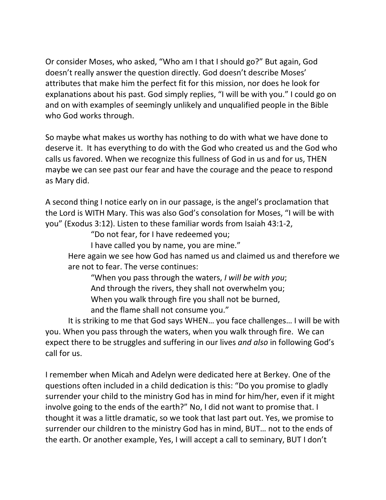Or consider Moses, who asked, "Who am I that I should go?" But again, God doesn't really answer the question directly. God doesn't describe Moses' attributes that make him the perfect fit for this mission, nor does he look for explanations about his past. God simply replies, "I will be with you." I could go on and on with examples of seemingly unlikely and unqualified people in the Bible who God works through.

So maybe what makes us worthy has nothing to do with what we have done to deserve it. It has everything to do with the God who created us and the God who calls us favored. When we recognize this fullness of God in us and for us, THEN maybe we can see past our fear and have the courage and the peace to respond as Mary did.

A second thing I notice early on in our passage, is the angel's proclamation that the Lord is WITH Mary. This was also God's consolation for Moses, "I will be with you" (Exodus 3:12). Listen to these familiar words from Isaiah 43:1-2,

"Do not fear, for I have redeemed you;

I have called you by name, you are mine."

Here again we see how God has named us and claimed us and therefore we are not to fear. The verse continues:

"When you pass through the waters, *I will be with you*; And through the rivers, they shall not overwhelm you; When you walk through fire you shall not be burned, and the flame shall not consume you."

It is striking to me that God says WHEN… you face challenges… I will be with you. When you pass through the waters, when you walk through fire. We can expect there to be struggles and suffering in our lives *and also* in following God's call for us.

I remember when Micah and Adelyn were dedicated here at Berkey. One of the questions often included in a child dedication is this: "Do you promise to gladly surrender your child to the ministry God has in mind for him/her, even if it might involve going to the ends of the earth?" No, I did not want to promise that. I thought it was a little dramatic, so we took that last part out. Yes, we promise to surrender our children to the ministry God has in mind, BUT… not to the ends of the earth. Or another example, Yes, I will accept a call to seminary, BUT I don't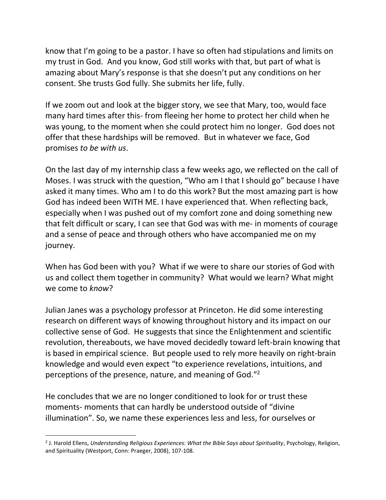know that I'm going to be a pastor. I have so often had stipulations and limits on my trust in God. And you know, God still works with that, but part of what is amazing about Mary's response is that she doesn't put any conditions on her consent. She trusts God fully. She submits her life, fully.

If we zoom out and look at the bigger story, we see that Mary, too, would face many hard times after this- from fleeing her home to protect her child when he was young, to the moment when she could protect him no longer. God does not offer that these hardships will be removed. But in whatever we face, God promises *to be with us*.

On the last day of my internship class a few weeks ago, we reflected on the call of Moses. I was struck with the question, "Who am I that I should go" because I have asked it many times. Who am I to do this work? But the most amazing part is how God has indeed been WITH ME. I have experienced that. When reflecting back, especially when I was pushed out of my comfort zone and doing something new that felt difficult or scary, I can see that God was with me- in moments of courage and a sense of peace and through others who have accompanied me on my journey.

When has God been with you? What if we were to share our stories of God with us and collect them together in community? What would we learn? What might we come to *know*?

Julian Janes was a psychology professor at Princeton. He did some interesting research on different ways of knowing throughout history and its impact on our collective sense of God. He suggests that since the Enlightenment and scientific revolution, thereabouts, we have moved decidedly toward left-brain knowing that is based in empirical science. But people used to rely more heavily on right-brain knowledge and would even expect "to experience revelations, intuitions, and perceptions of the presence, nature, and meaning of God."<sup>2</sup>

He concludes that we are no longer conditioned to look for or trust these moments- moments that can hardly be understood outside of "divine illumination". So, we name these experiences less and less, for ourselves or

 $\overline{a}$ 

<sup>2</sup> J. Harold Ellens, *Understanding Religious Experiences: What the Bible Says about Spirituality*, Psychology, Religion, and Spirituality (Westport, Conn: Praeger, 2008), 107-108.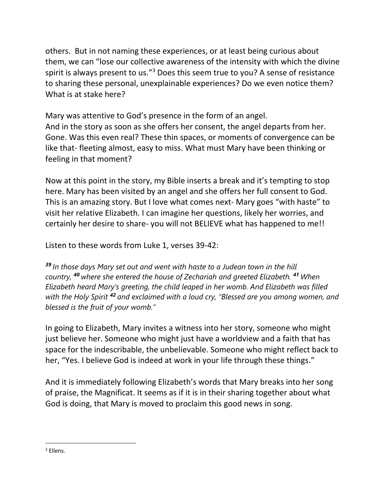others. But in not naming these experiences, or at least being curious about them, we can "lose our collective awareness of the intensity with which the divine spirit is always present to us."<sup>3</sup> Does this seem true to you? A sense of resistance to sharing these personal, unexplainable experiences? Do we even notice them? What is at stake here?

Mary was attentive to God's presence in the form of an angel. And in the story as soon as she offers her consent, the angel departs from her. Gone. Was this even real? These thin spaces, or moments of convergence can be like that- fleeting almost, easy to miss. What must Mary have been thinking or feeling in that moment?

Now at this point in the story, my Bible inserts a break and it's tempting to stop here. Mary has been visited by an angel and she offers her full consent to God. This is an amazing story. But I love what comes next- Mary goes "with haste" to visit her relative Elizabeth. I can imagine her questions, likely her worries, and certainly her desire to share- you will not BELIEVE what has happened to me!!

Listen to these words from Luke 1, verses 39-42:

*<sup>39</sup> In those days Mary set out and went with haste to a Judean town in the hill country, <sup>40</sup> where she entered the house of Zechariah and greeted Elizabeth. <sup>41</sup> When Elizabeth heard Mary's greeting, the child leaped in her womb. And Elizabeth was filled with the Holy Spirit <sup>42</sup> and exclaimed with a loud cry, "Blessed are you among women, and blessed is the fruit of your womb."*

In going to Elizabeth, Mary invites a witness into her story, someone who might just believe her. Someone who might just have a worldview and a faith that has space for the indescribable, the unbelievable. Someone who might reflect back to her, "Yes. I believe God is indeed at work in your life through these things."

And it is immediately following Elizabeth's words that Mary breaks into her song of praise, the Magnificat. It seems as if it is in their sharing together about what God is doing, that Mary is moved to proclaim this good news in song.

 $\overline{a}$ 

<sup>3</sup> Ellens.